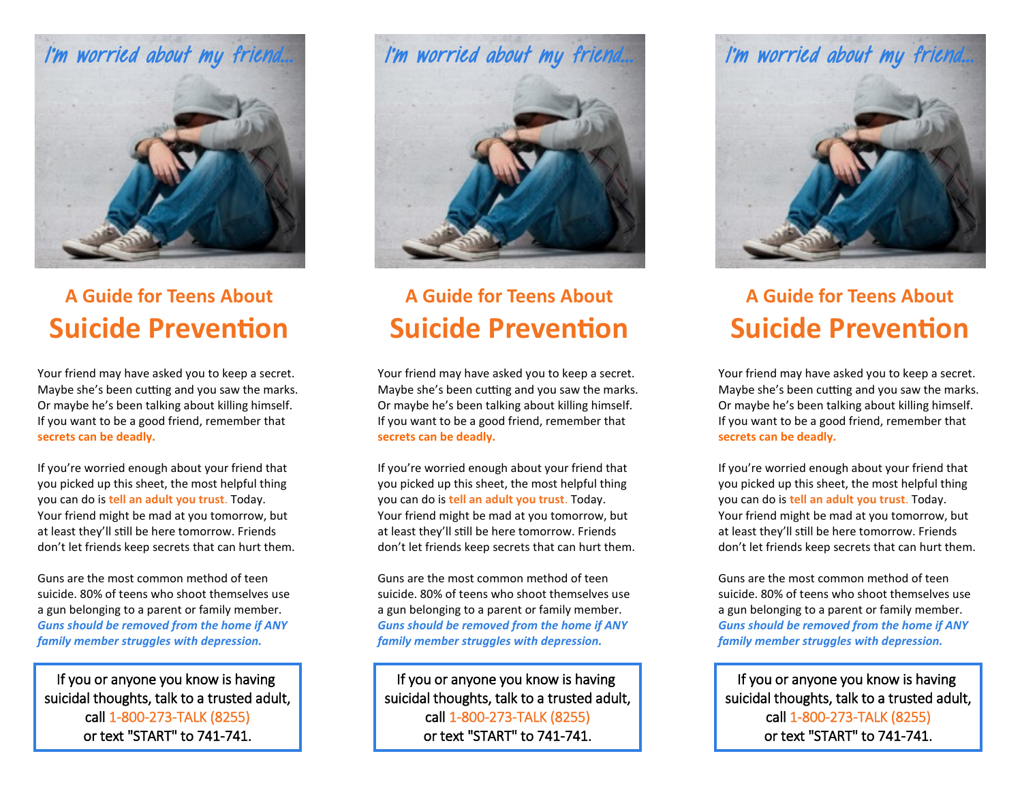

## **A Guide for Teens About Suicide Prevention**

Your friend may have asked you to keep a secret. Maybe she's been cutting and you saw the marks. Or maybe he's been talking about killing himself. If you want to be a good friend, remember that **secrets can be deadly.** 

If you're worried enough about your friend that you picked up this sheet, the most helpful thing you can do is **tell an adult you trust**. Today. Your friend might be mad at you tomorrow, but at least they'll still be here tomorrow. Friends don't let friends keep secrets that can hurt them.

Guns are the most common method of teen suicide. 80% of teens who shoot themselves use a gun belonging to a parent or family member. *Guns should be removed from the home if ANY family member struggles with depression.*

If you or anyone you know is having suicidal thoughts, talk to a trusted adult, call 1-800-273-TALK (8255) or text "START" to 741-741.



# **A Guide for Teens About Suicide Prevention**

Your friend may have asked you to keep a secret. Maybe she's been cutting and you saw the marks. Or maybe he's been talking about killing himself. If you want to be a good friend, remember that **secrets can be deadly.** 

If you're worried enough about your friend that you picked up this sheet, the most helpful thing you can do is **tell an adult you trust**. Today. Your friend might be mad at you tomorrow, but at least they'll still be here tomorrow. Friends don't let friends keep secrets that can hurt them.

Guns are the most common method of teen suicide. 80% of teens who shoot themselves use a gun belonging to a parent or family member. *Guns should be removed from the home if ANY family member struggles with depression.*

If you or anyone you know is having suicidal thoughts, talk to a trusted adult, call 1-800-273-TALK (8255) or text "START" to 741-741.



# **A Guide for Teens About Suicide Prevention**

Your friend may have asked you to keep a secret. Maybe she's been cutting and you saw the marks. Or maybe he's been talking about killing himself. If you want to be a good friend, remember that **secrets can be deadly.** 

If you're worried enough about your friend that you picked up this sheet, the most helpful thing you can do is **tell an adult you trust**. Today. Your friend might be mad at you tomorrow, but at least they'll still be here tomorrow. Friends don't let friends keep secrets that can hurt them.

Guns are the most common method of teen suicide. 80% of teens who shoot themselves use a gun belonging to a parent or family member. *Guns should be removed from the home if ANY family member struggles with depression.*

If you or anyone you know is having suicidal thoughts, talk to a trusted adult, call 1-800-273-TALK (8255) or text "START" to 741-741.